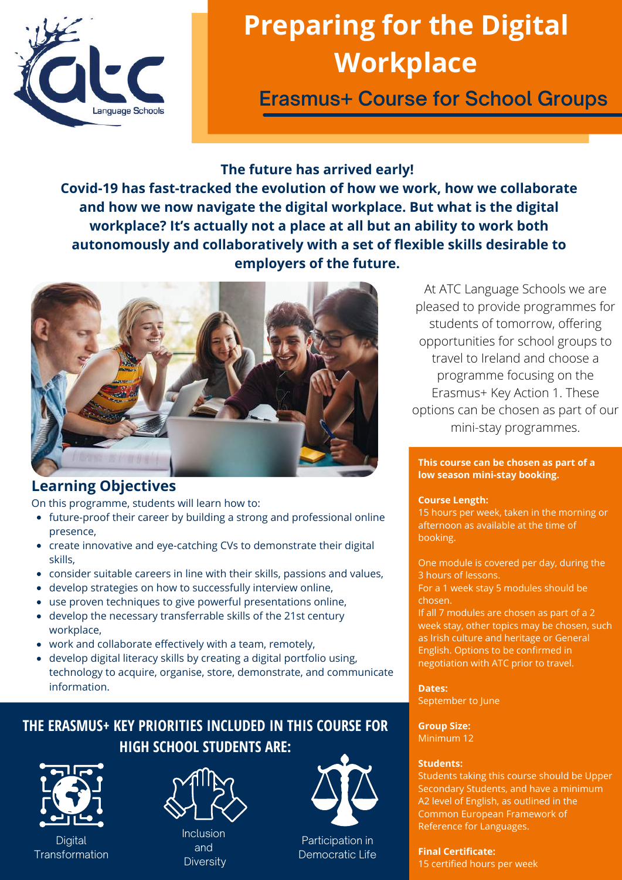

# **Preparing for the Digital Workplace**

**Erasmus+ Course for School Groups**

## **The future has arrived early!**

**Covid-19 has fast-tracked the evolution of how we work, how we collaborate and how we now navigate the digital workplace. But what is the digital workplace? It's actually not a place at all but an ability to work both autonomously and collaboratively with a set of flexible skills desirable to employers of the future.**



## **Learning Objectives**

On this programme, students will learn how to:

- future-proof their career by building a strong and professional online presence,
- create innovative and eye-catching CVs to demonstrate their digital skills,
- consider suitable careers in line with their skills, passions and values,
- develop strategies on how to successfully interview online,
- use proven techniques to give powerful presentations online,
- develop the necessary transferrable skills of the 21st century workplace,
- work and collaborate effectively with a team, remotely,
- develop digital literacy skills by creating a digital portfolio using, technology to acquire, organise, store, demonstrate, and communicate information.

# **THE ERASMUS+ KEY PRIORITIES INCLUDED IN THIS COURSE FOR HIGH SCHOOL STUDENTS ARE:**



**Digital Transformation** 



**Diversity** 



Participation in Democratic Life

At ATC Language Schools we are pleased to provide programmes for students of tomorrow, offering opportunities for school groups to travel to Ireland and choose a programme focusing on the Erasmus+ Key Action 1. These options can be chosen as part of our mini-stay programmes.

#### **This course can be chosen as part of a low season mini-stay booking.**

## **Course Length:**

15 hours per week, taken in the morning or afternoon as available at the time of booking.

One module is covered per day, during the 3 hours of lessons. For a 1 week stay 5 modules should be chosen.

If all 7 modules are chosen as part of a 2 week stay, other topics may be chosen, such as Irish culture and heritage or General English. Options to be confirmed in negotiation with ATC prior to travel.

**Dates:** September to June

**Group Size:** Minimum 12

## **Students:**

Students taking this course should be Upper Secondary Students, and have a minimum A2 level of English, as outlined in the Common European Framework of Reference for Languages.

**Final Certificate:** 15 certified hours per week